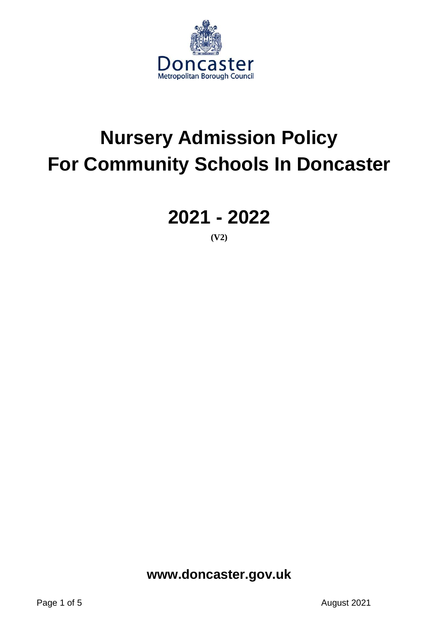

# **Nursery Admission Policy For Community Schools In Doncaster**

**2021 - 2022**

**(V2)**

**www.doncaster.gov.uk**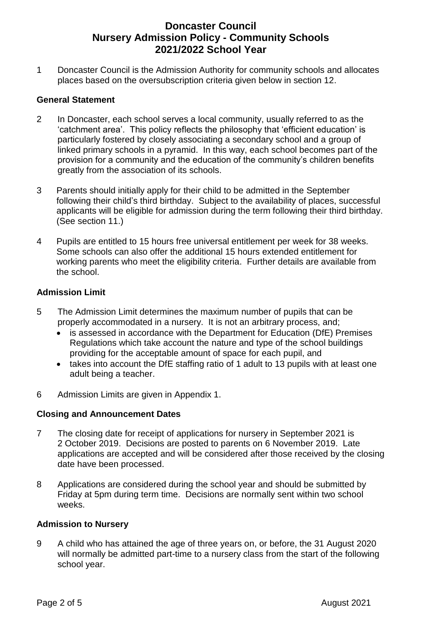# **Doncaster Council Nursery Admission Policy - Community Schools 2021/2022 School Year**

1 Doncaster Council is the Admission Authority for community schools and allocates places based on the oversubscription criteria given below in section 12.

## **General Statement**

- 2 In Doncaster, each school serves a local community, usually referred to as the 'catchment area'. This policy reflects the philosophy that 'efficient education' is particularly fostered by closely associating a secondary school and a group of linked primary schools in a pyramid. In this way, each school becomes part of the provision for a community and the education of the community's children benefits greatly from the association of its schools.
- 3 Parents should initially apply for their child to be admitted in the September following their child's third birthday. Subject to the availability of places, successful applicants will be eligible for admission during the term following their third birthday. (See section 11.)
- 4 Pupils are entitled to 15 hours free universal entitlement per week for 38 weeks. Some schools can also offer the additional 15 hours extended entitlement for working parents who meet the eligibility criteria. Further details are available from the school.

## **Admission Limit**

- 5 The Admission Limit determines the maximum number of pupils that can be properly accommodated in a nursery. It is not an arbitrary process, and;
	- is assessed in accordance with the Department for Education (DfE) Premises Regulations which take account the nature and type of the school buildings providing for the acceptable amount of space for each pupil, and
	- takes into account the DfE staffing ratio of 1 adult to 13 pupils with at least one adult being a teacher.
- 6 Admission Limits are given in Appendix 1.

## **Closing and Announcement Dates**

- 7 The closing date for receipt of applications for nursery in September 2021 is 2 October 2019. Decisions are posted to parents on 6 November 2019. Late applications are accepted and will be considered after those received by the closing date have been processed.
- 8 Applications are considered during the school year and should be submitted by Friday at 5pm during term time. Decisions are normally sent within two school weeks.

## **Admission to Nursery**

9 A child who has attained the age of three years on, or before, the 31 August 2020 will normally be admitted part-time to a nursery class from the start of the following school year.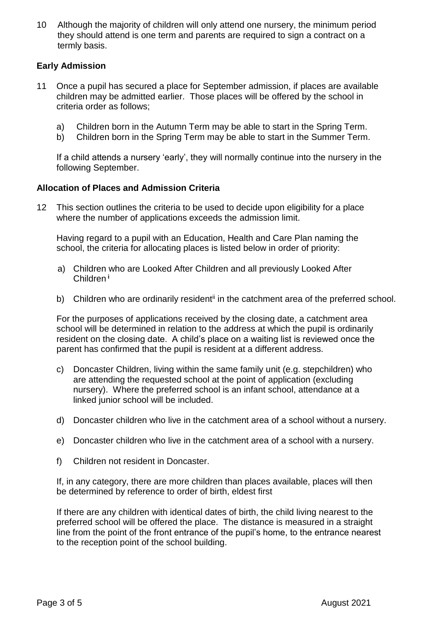10 Although the majority of children will only attend one nursery, the minimum period they should attend is one term and parents are required to sign a contract on a termly basis.

# **Early Admission**

- 11 Once a pupil has secured a place for September admission, if places are available children may be admitted earlier. Those places will be offered by the school in criteria order as follows;
	- a) Children born in the Autumn Term may be able to start in the Spring Term.
	- b) Children born in the Spring Term may be able to start in the Summer Term.

If a child attends a nursery 'early', they will normally continue into the nursery in the following September.

## **Allocation of Places and Admission Criteria**

12 This section outlines the criteria to be used to decide upon eligibility for a place where the number of applications exceeds the admission limit.

Having regard to a pupil with an Education, Health and Care Plan naming the school, the criteria for allocating places is listed below in order of priority:

- a) Children who are Looked After Children and all previously Looked After Children **<sup>i</sup>**
- b) Children who are ordinarily resident<sup>ii</sup> in the catchment area of the preferred school.

For the purposes of applications received by the closing date, a catchment area school will be determined in relation to the address at which the pupil is ordinarily resident on the closing date. A child's place on a waiting list is reviewed once the parent has confirmed that the pupil is resident at a different address.

- c) Doncaster Children, living within the same family unit (e.g. stepchildren) who are attending the requested school at the point of application (excluding nursery). Where the preferred school is an infant school, attendance at a linked junior school will be included.
- d) Doncaster children who live in the catchment area of a school without a nursery.
- e) Doncaster children who live in the catchment area of a school with a nursery.
- f) Children not resident in Doncaster.

If, in any category, there are more children than places available, places will then be determined by reference to order of birth, eldest first

If there are any children with identical dates of birth, the child living nearest to the preferred school will be offered the place. The distance is measured in a straight line from the point of the front entrance of the pupil's home, to the entrance nearest to the reception point of the school building.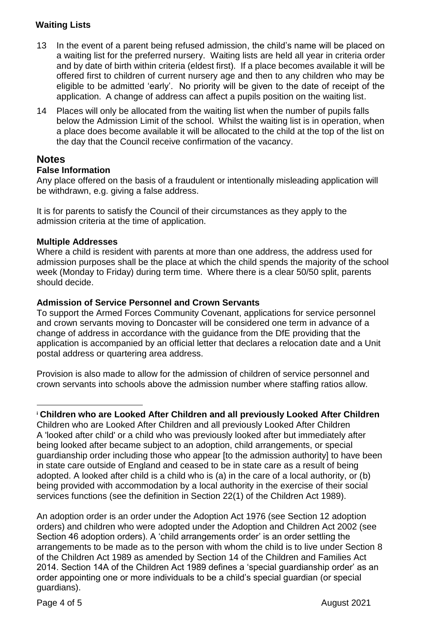# **Waiting Lists**

- 13 In the event of a parent being refused admission, the child's name will be placed on a waiting list for the preferred nursery. Waiting lists are held all year in criteria order and by date of birth within criteria (eldest first). If a place becomes available it will be offered first to children of current nursery age and then to any children who may be eligible to be admitted 'early'. No priority will be given to the date of receipt of the application. A change of address can affect a pupils position on the waiting list.
- 14 Places will only be allocated from the waiting list when the number of pupils falls below the Admission Limit of the school. Whilst the waiting list is in operation, when a place does become available it will be allocated to the child at the top of the list on the day that the Council receive confirmation of the vacancy.

# **Notes**

## **False Information**

Any place offered on the basis of a fraudulent or intentionally misleading application will be withdrawn, e.g. giving a false address.

It is for parents to satisfy the Council of their circumstances as they apply to the admission criteria at the time of application.

## **Multiple Addresses**

Where a child is resident with parents at more than one address, the address used for admission purposes shall be the place at which the child spends the majority of the school week (Monday to Friday) during term time. Where there is a clear 50/50 split, parents should decide.

## **Admission of Service Personnel and Crown Servants**

To support the Armed Forces Community Covenant, applications for service personnel and crown servants moving to Doncaster will be considered one term in advance of a change of address in accordance with the guidance from the DfE providing that the application is accompanied by an official letter that declares a relocation date and a Unit postal address or quartering area address.

Provision is also made to allow for the admission of children of service personnel and crown servants into schools above the admission number where staffing ratios allow.

#### **<sup>i</sup> Children who are Looked After Children and all previously Looked After Children**  $\overline{a}$

Children who are Looked After Children and all previously Looked After Children A 'looked after child' or a child who was previously looked after but immediately after being looked after became subject to an adoption, child arrangements, or special guardianship order including those who appear [to the admission authority] to have been in state care outside of England and ceased to be in state care as a result of being adopted. A looked after child is a child who is (a) in the care of a local authority, or (b) being provided with accommodation by a local authority in the exercise of their social services functions (see the definition in Section 22(1) of the Children Act 1989).

An adoption order is an order under the Adoption Act 1976 (see Section 12 adoption orders) and children who were adopted under the Adoption and Children Act 2002 (see Section 46 adoption orders). A 'child arrangements order' is an order settling the arrangements to be made as to the person with whom the child is to live under Section 8 of the Children Act 1989 as amended by Section 14 of the Children and Families Act 2014. Section 14A of the Children Act 1989 defines a 'special guardianship order' as an order appointing one or more individuals to be a child's special guardian (or special guardians).